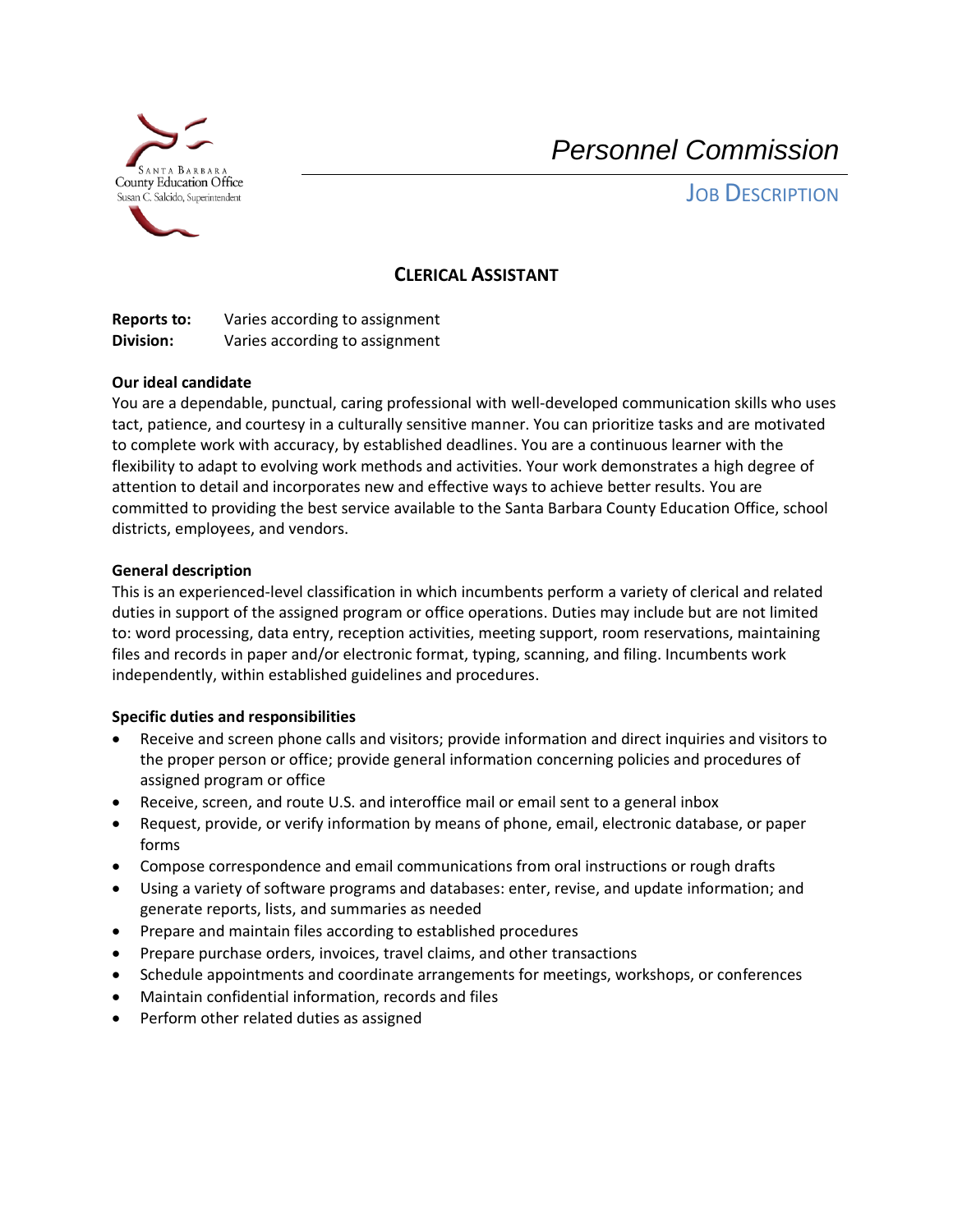

*Personnel Commission*

**JOB DESCRIPTION** 

## **CLERICAL ASSISTANT**

**Reports to:** Varies according to assignment **Division:** Varies according to assignment

## **Our ideal candidate**

You are a dependable, punctual, caring professional with well-developed communication skills who uses tact, patience, and courtesy in a culturally sensitive manner. You can prioritize tasks and are motivated to complete work with accuracy, by established deadlines. You are a continuous learner with the flexibility to adapt to evolving work methods and activities. Your work demonstrates a high degree of attention to detail and incorporates new and effective ways to achieve better results. You are committed to providing the best service available to the Santa Barbara County Education Office, school districts, employees, and vendors.

## **General description**

This is an experienced-level classification in which incumbents perform a variety of clerical and related duties in support of the assigned program or office operations. Duties may include but are not limited to: word processing, data entry, reception activities, meeting support, room reservations, maintaining files and records in paper and/or electronic format, typing, scanning, and filing. Incumbents work independently, within established guidelines and procedures.

## **Specific duties and responsibilities**

- Receive and screen phone calls and visitors; provide information and direct inquiries and visitors to the proper person or office; provide general information concerning policies and procedures of assigned program or office
- Receive, screen, and route U.S. and interoffice mail or email sent to a general inbox
- Request, provide, or verify information by means of phone, email, electronic database, or paper forms
- Compose correspondence and email communications from oral instructions or rough drafts
- Using a variety of software programs and databases: enter, revise, and update information; and generate reports, lists, and summaries as needed
- Prepare and maintain files according to established procedures
- Prepare purchase orders, invoices, travel claims, and other transactions
- Schedule appointments and coordinate arrangements for meetings, workshops, or conferences
- Maintain confidential information, records and files
- Perform other related duties as assigned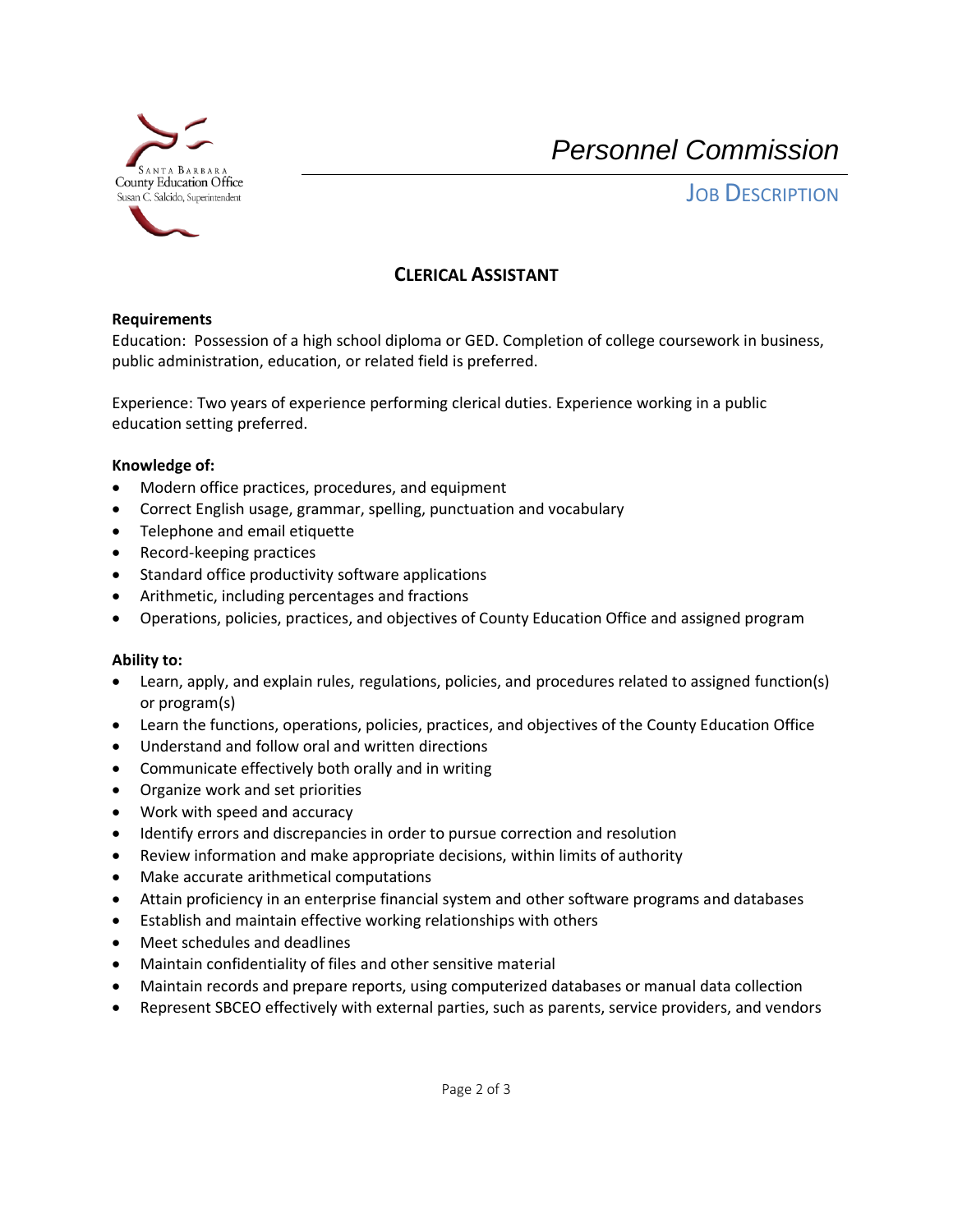

*Personnel Commission*

**JOB DESCRIPTION** 

# **CLERICAL ASSISTANT**

## **Requirements**

Education: Possession of a high school diploma or GED. Completion of college coursework in business, public administration, education, or related field is preferred.

Experience: Two years of experience performing clerical duties. Experience working in a public education setting preferred.

#### **Knowledge of:**

- Modern office practices, procedures, and equipment
- Correct English usage, grammar, spelling, punctuation and vocabulary
- Telephone and email etiquette
- Record-keeping practices
- Standard office productivity software applications
- Arithmetic, including percentages and fractions
- Operations, policies, practices, and objectives of County Education Office and assigned program

## **Ability to:**

- Learn, apply, and explain rules, regulations, policies, and procedures related to assigned function(s) or program(s)
- Learn the functions, operations, policies, practices, and objectives of the County Education Office
- Understand and follow oral and written directions
- Communicate effectively both orally and in writing
- Organize work and set priorities
- Work with speed and accuracy
- Identify errors and discrepancies in order to pursue correction and resolution
- Review information and make appropriate decisions, within limits of authority
- Make accurate arithmetical computations
- Attain proficiency in an enterprise financial system and other software programs and databases
- Establish and maintain effective working relationships with others
- Meet schedules and deadlines
- Maintain confidentiality of files and other sensitive material
- Maintain records and prepare reports, using computerized databases or manual data collection
- Represent SBCEO effectively with external parties, such as parents, service providers, and vendors